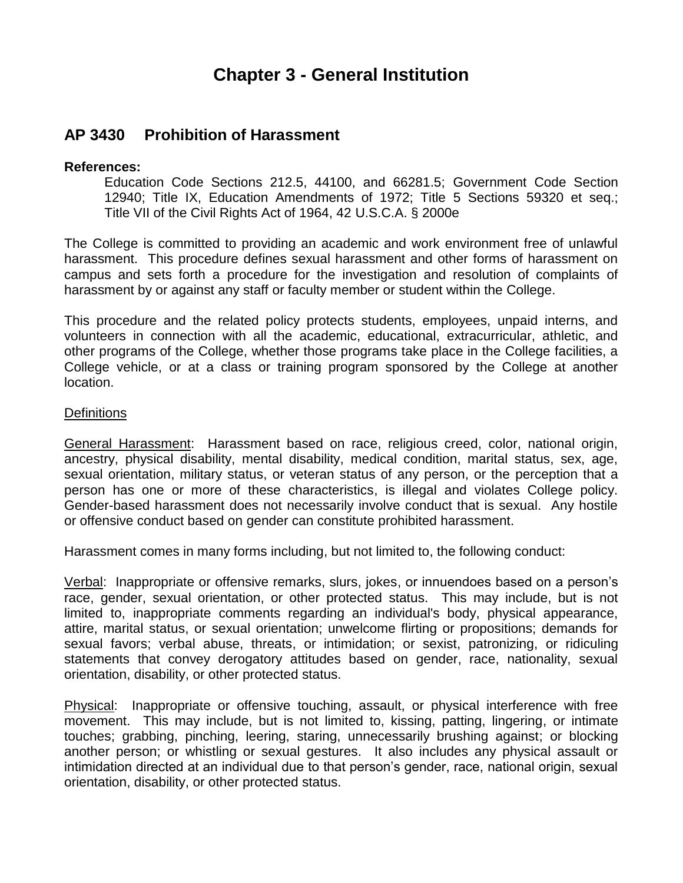# **Chapter 3 - General Institution**

# **AP 3430 Prohibition of Harassment**

## **References:**

Education Code Sections 212.5, 44100, and 66281.5; Government Code Section 12940; Title IX, Education Amendments of 1972; Title 5 Sections 59320 et seq.; Title VII of the Civil Rights Act of 1964, 42 U.S.C.A. § 2000e

The College is committed to providing an academic and work environment free of unlawful harassment. This procedure defines sexual harassment and other forms of harassment on campus and sets forth a procedure for the investigation and resolution of complaints of harassment by or against any staff or faculty member or student within the College.

This procedure and the related policy protects students, employees, unpaid interns, and volunteers in connection with all the academic, educational, extracurricular, athletic, and other programs of the College, whether those programs take place in the College facilities, a College vehicle, or at a class or training program sponsored by the College at another location.

# **Definitions**

General Harassment: Harassment based on race, religious creed, color, national origin, ancestry, physical disability, mental disability, medical condition, marital status, sex, age, sexual orientation, military status, or veteran status of any person, or the perception that a person has one or more of these characteristics, is illegal and violates College policy. Gender-based harassment does not necessarily involve conduct that is sexual. Any hostile or offensive conduct based on gender can constitute prohibited harassment.

Harassment comes in many forms including, but not limited to, the following conduct:

Verbal: Inappropriate or offensive remarks, slurs, jokes, or innuendoes based on a person's race, gender, sexual orientation, or other protected status. This may include, but is not limited to, inappropriate comments regarding an individual's body, physical appearance, attire, marital status, or sexual orientation; unwelcome flirting or propositions; demands for sexual favors; verbal abuse, threats, or intimidation; or sexist, patronizing, or ridiculing statements that convey derogatory attitudes based on gender, race, nationality, sexual orientation, disability, or other protected status.

Physical: Inappropriate or offensive touching, assault, or physical interference with free movement. This may include, but is not limited to, kissing, patting, lingering, or intimate touches; grabbing, pinching, leering, staring, unnecessarily brushing against; or blocking another person; or whistling or sexual gestures. It also includes any physical assault or intimidation directed at an individual due to that person's gender, race, national origin, sexual orientation, disability, or other protected status.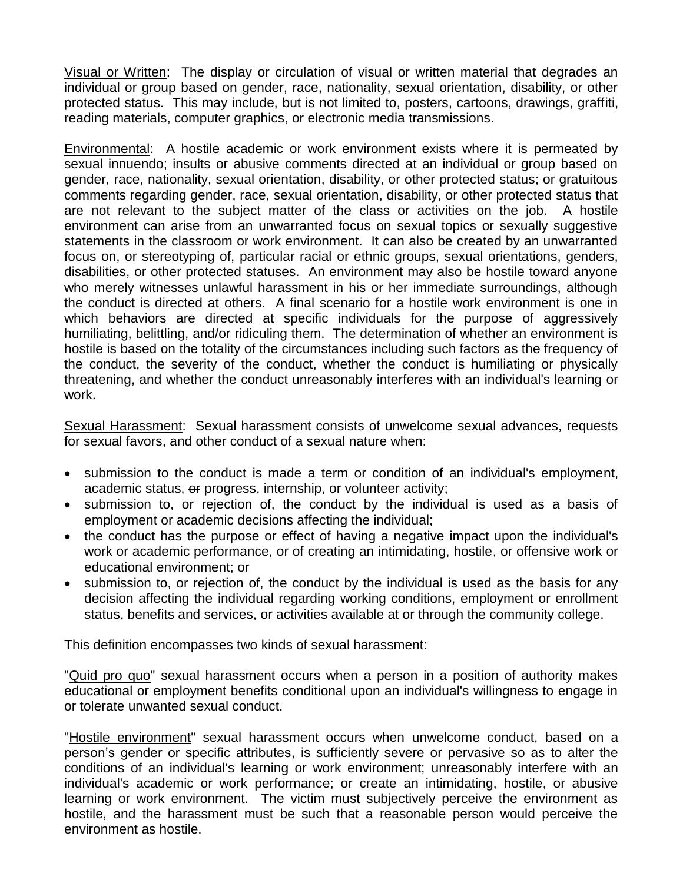Visual or Written: The display or circulation of visual or written material that degrades an individual or group based on gender, race, nationality, sexual orientation, disability, or other protected status. This may include, but is not limited to, posters, cartoons, drawings, graffiti, reading materials, computer graphics, or electronic media transmissions.

Environmental: A hostile academic or work environment exists where it is permeated by sexual innuendo; insults or abusive comments directed at an individual or group based on gender, race, nationality, sexual orientation, disability, or other protected status; or gratuitous comments regarding gender, race, sexual orientation, disability, or other protected status that are not relevant to the subject matter of the class or activities on the job. A hostile environment can arise from an unwarranted focus on sexual topics or sexually suggestive statements in the classroom or work environment. It can also be created by an unwarranted focus on, or stereotyping of, particular racial or ethnic groups, sexual orientations, genders, disabilities, or other protected statuses. An environment may also be hostile toward anyone who merely witnesses unlawful harassment in his or her immediate surroundings, although the conduct is directed at others. A final scenario for a hostile work environment is one in which behaviors are directed at specific individuals for the purpose of aggressively humiliating, belittling, and/or ridiculing them. The determination of whether an environment is hostile is based on the totality of the circumstances including such factors as the frequency of the conduct, the severity of the conduct, whether the conduct is humiliating or physically threatening, and whether the conduct unreasonably interferes with an individual's learning or work.

Sexual Harassment: Sexual harassment consists of unwelcome sexual advances, requests for sexual favors, and other conduct of a sexual nature when:

- submission to the conduct is made a term or condition of an individual's employment, academic status, or progress, internship, or volunteer activity;
- submission to, or rejection of, the conduct by the individual is used as a basis of employment or academic decisions affecting the individual;
- the conduct has the purpose or effect of having a negative impact upon the individual's work or academic performance, or of creating an intimidating, hostile, or offensive work or educational environment; or
- submission to, or rejection of, the conduct by the individual is used as the basis for any decision affecting the individual regarding working conditions, employment or enrollment status, benefits and services, or activities available at or through the community college.

This definition encompasses two kinds of sexual harassment:

"Quid pro quo" sexual harassment occurs when a person in a position of authority makes educational or employment benefits conditional upon an individual's willingness to engage in or tolerate unwanted sexual conduct.

"Hostile environment" sexual harassment occurs when unwelcome conduct, based on a person's gender or specific attributes, is sufficiently severe or pervasive so as to alter the conditions of an individual's learning or work environment; unreasonably interfere with an individual's academic or work performance; or create an intimidating, hostile, or abusive learning or work environment. The victim must subjectively perceive the environment as hostile, and the harassment must be such that a reasonable person would perceive the environment as hostile.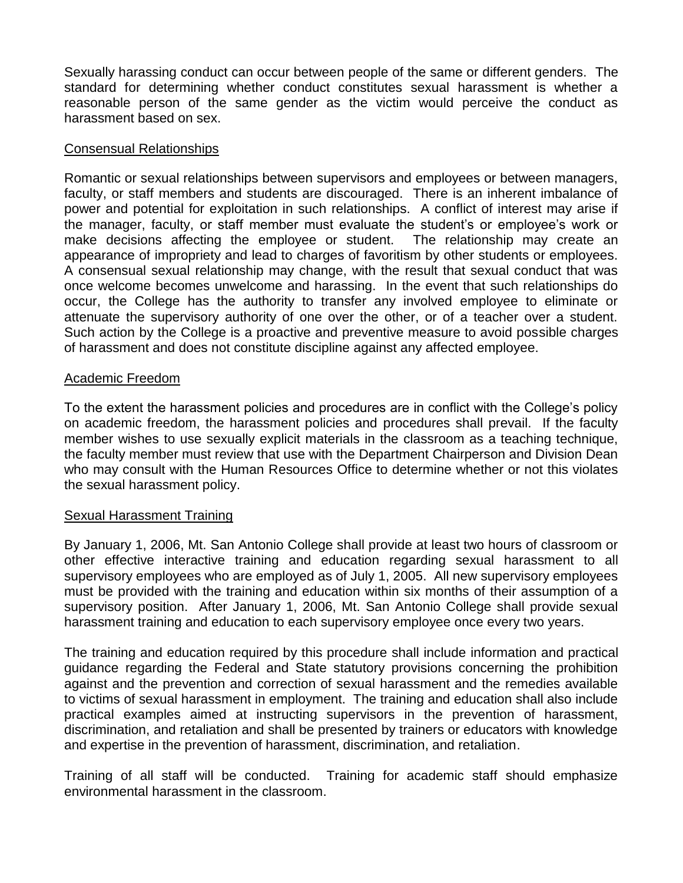Sexually harassing conduct can occur between people of the same or different genders. The standard for determining whether conduct constitutes sexual harassment is whether a reasonable person of the same gender as the victim would perceive the conduct as harassment based on sex.

### Consensual Relationships

Romantic or sexual relationships between supervisors and employees or between managers, faculty, or staff members and students are discouraged. There is an inherent imbalance of power and potential for exploitation in such relationships. A conflict of interest may arise if the manager, faculty, or staff member must evaluate the student's or employee's work or make decisions affecting the employee or student. The relationship may create an appearance of impropriety and lead to charges of favoritism by other students or employees. A consensual sexual relationship may change, with the result that sexual conduct that was once welcome becomes unwelcome and harassing. In the event that such relationships do occur, the College has the authority to transfer any involved employee to eliminate or attenuate the supervisory authority of one over the other, or of a teacher over a student. Such action by the College is a proactive and preventive measure to avoid possible charges of harassment and does not constitute discipline against any affected employee.

### Academic Freedom

To the extent the harassment policies and procedures are in conflict with the College's policy on academic freedom, the harassment policies and procedures shall prevail. If the faculty member wishes to use sexually explicit materials in the classroom as a teaching technique, the faculty member must review that use with the Department Chairperson and Division Dean who may consult with the Human Resources Office to determine whether or not this violates the sexual harassment policy.

### Sexual Harassment Training

By January 1, 2006, Mt. San Antonio College shall provide at least two hours of classroom or other effective interactive training and education regarding sexual harassment to all supervisory employees who are employed as of July 1, 2005. All new supervisory employees must be provided with the training and education within six months of their assumption of a supervisory position. After January 1, 2006, Mt. San Antonio College shall provide sexual harassment training and education to each supervisory employee once every two years.

The training and education required by this procedure shall include information and practical guidance regarding the Federal and State statutory provisions concerning the prohibition against and the prevention and correction of sexual harassment and the remedies available to victims of sexual harassment in employment. The training and education shall also include practical examples aimed at instructing supervisors in the prevention of harassment, discrimination, and retaliation and shall be presented by trainers or educators with knowledge and expertise in the prevention of harassment, discrimination, and retaliation.

Training of all staff will be conducted. Training for academic staff should emphasize environmental harassment in the classroom.